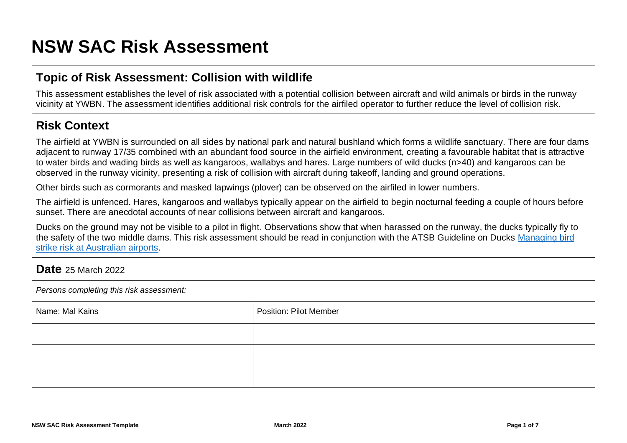# **NSW SAC Risk Assessment**

## **Topic of Risk Assessment: Collision with wildlife**

This assessment establishes the level of risk associated with a potential collision between aircraft and wild animals or birds in the runway vicinity at YWBN. The assessment identifies additional risk controls for the airfiled operator to further reduce the level of collision risk.

## **Risk Context**

The airfield at YWBN is surrounded on all sides by national park and natural bushland which forms a wildlife sanctuary. There are four dams adjacent to runway 17/35 combined with an abundant food source in the airfield environment, creating a favourable habitat that is attractive to water birds and wading birds as well as kangaroos, wallabys and hares. Large numbers of wild ducks (n>40) and kangaroos can be observed in the runway vicinity, presenting a risk of collision with aircraft during takeoff, landing and ground operations.

Other birds such as cormorants and masked lapwings (plover) can be observed on the airfiled in lower numbers.

The airfield is unfenced. Hares, kangaroos and wallabys typically appear on the airfield to begin nocturnal feeding a couple of hours before sunset. There are anecdotal accounts of near collisions between aircraft and kangaroos.

Ducks on the ground may not be visible to a pilot in flight. Observations show that when harassed on the runway, the ducks typically fly to the safety of the two middle dams. This risk assessment should be read in conjunction with the ATSB Guideline on Ducks Managing bird [strike risk at Australian airports.](https://www.atsb.gov.au/media/36501/02_ducks.pdf)

### **Date** 25 March 2022

*Persons completing this risk assessment:*

| Name: Mal Kains | Position: Pilot Member |
|-----------------|------------------------|
|                 |                        |
|                 |                        |
|                 |                        |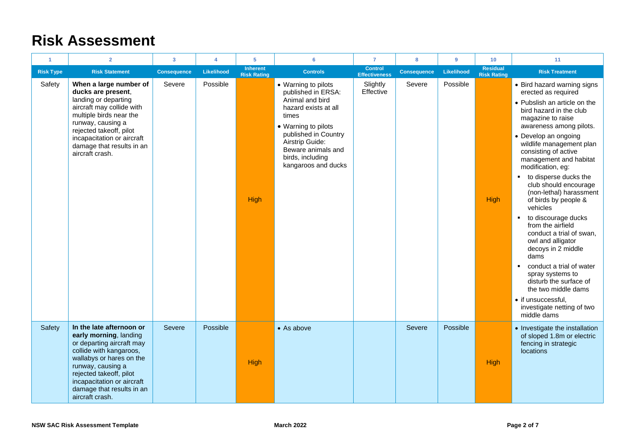# **Risk Assessment**

| 1                | $\overline{2}$                                                                                                                                                                                                                                                       | $\overline{\mathbf{3}}$ | $\overline{4}$ | 5                                     | 6                                                                                                                                                                                                                                | $\overline{7}$                         | 8                  | 9          | 10 <sub>1</sub>                       | 11                                                                                                                                                                                                                                                                                                                                                                                                                                                                                                                                                                                                                                                                                                                   |
|------------------|----------------------------------------------------------------------------------------------------------------------------------------------------------------------------------------------------------------------------------------------------------------------|-------------------------|----------------|---------------------------------------|----------------------------------------------------------------------------------------------------------------------------------------------------------------------------------------------------------------------------------|----------------------------------------|--------------------|------------|---------------------------------------|----------------------------------------------------------------------------------------------------------------------------------------------------------------------------------------------------------------------------------------------------------------------------------------------------------------------------------------------------------------------------------------------------------------------------------------------------------------------------------------------------------------------------------------------------------------------------------------------------------------------------------------------------------------------------------------------------------------------|
| <b>Risk Type</b> | <b>Risk Statement</b>                                                                                                                                                                                                                                                | <b>Consequence</b>      | Likelihood     | <b>Inherent</b><br><b>Risk Rating</b> | <b>Controls</b>                                                                                                                                                                                                                  | <b>Control</b><br><b>Effectiveness</b> | <b>Consequence</b> | Likelihood | <b>Residual</b><br><b>Risk Rating</b> | <b>Risk Treatment</b>                                                                                                                                                                                                                                                                                                                                                                                                                                                                                                                                                                                                                                                                                                |
| Safety           | When a large number of<br>ducks are present,<br>landing or departing<br>aircraft may collide with<br>multiple birds near the<br>runway, causing a<br>rejected takeoff, pilot<br>incapacitation or aircraft<br>damage that results in an<br>aircraft crash.           | Severe                  | Possible       | High                                  | • Warning to pilots<br>published in ERSA:<br>Animal and bird<br>hazard exists at all<br>times<br>• Warning to pilots<br>published in Country<br>Airstrip Guide:<br>Beware animals and<br>birds, including<br>kangaroos and ducks | Slightly<br>Effective                  | Severe             | Possible   | <b>High</b>                           | • Bird hazard warning signs<br>erected as required<br>• Pubslish an article on the<br>bird hazard in the club<br>magazine to raise<br>awareness among pilots.<br>• Develop an ongoing<br>wildlife management plan<br>consisting of active<br>management and habitat<br>modification, eg:<br>• to disperse ducks the<br>club should encourage<br>(non-lethal) harassment<br>of birds by people &<br>vehicles<br>to discourage ducks<br>٠<br>from the airfield<br>conduct a trial of swan,<br>owl and alligator<br>decoys in 2 middle<br>dams<br>conduct a trial of water<br>٠<br>spray systems to<br>disturb the surface of<br>the two middle dams<br>• if unsuccessful,<br>investigate netting of two<br>middle dams |
| Safety           | In the late afternoon or<br>early morning, landing<br>or departing aircraft may<br>collide with kangaroos,<br>wallabys or hares on the<br>runway, causing a<br>rejected takeoff, pilot<br>incapacitation or aircraft<br>damage that results in an<br>aircraft crash. | Severe                  | Possible       | High                                  | • As above                                                                                                                                                                                                                       |                                        | Severe             | Possible   | <b>High</b>                           | • Investigate the installation<br>of sloped 1.8m or electric<br>fencing in strategic<br>locations                                                                                                                                                                                                                                                                                                                                                                                                                                                                                                                                                                                                                    |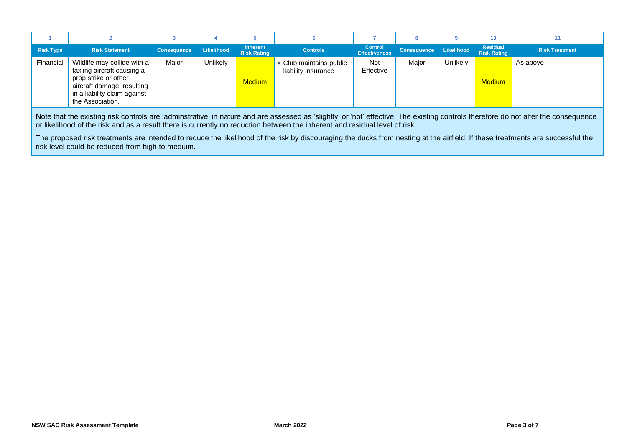|                  |                                                                                                                                                                     |                    |            |                                       |                                                |                                        |                        |          | 10                             |                       |
|------------------|---------------------------------------------------------------------------------------------------------------------------------------------------------------------|--------------------|------------|---------------------------------------|------------------------------------------------|----------------------------------------|------------------------|----------|--------------------------------|-----------------------|
| <b>Risk Type</b> | <b>Risk Statement</b>                                                                                                                                               | <b>Consequence</b> | Likelihood | <b>Inherent</b><br><b>Risk Rating</b> | <b>Controls</b>                                | <b>Control</b><br><b>Effectiveness</b> | Consequence Likelihood |          | Residual<br><b>Risk Rating</b> | <b>Risk Treatment</b> |
| Financial        | Wildlife may collide with a<br>taxiing aircraft causing a<br>prop strike or other<br>aircraft damage, resulting<br>in a liability claim against<br>the Association. | Major              | Unlikely   | <b>Medium</b>                         | • Club maintains public<br>liability insurance | Not<br>Effective                       | Major                  | Unlikely | <b>Medium</b>                  | As above              |

Note that the existing risk controls are 'adminstrative' in nature and are assessed as 'slightly' or 'not' effective. The existing controls therefore do not alter the consequence or likelihood of the risk and as a result there is currently no reduction between the inherent and residual level of risk.

The proposed risk treatments are intended to reduce the likelihood of the risk by discouraging the ducks from nesting at the airfield. If these treatments are successful the risk level could be reduced from high to medium.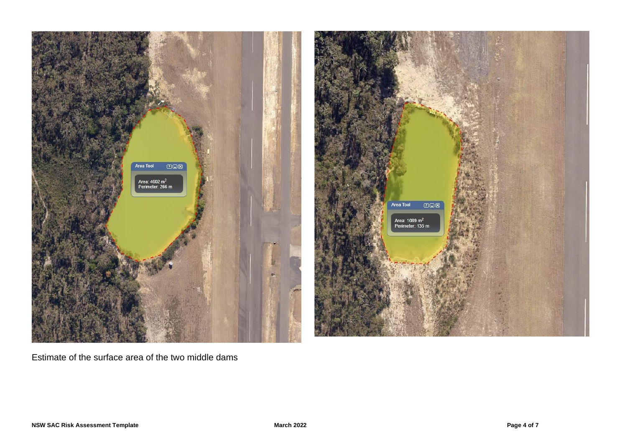



Estimate of the surface area of the two middle dams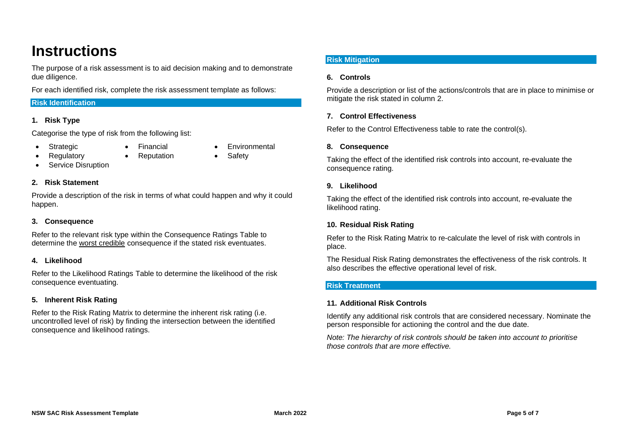# **Instructions**

The purpose of a risk assessment is to aid decision making and to demonstrate due diligence.

For each identified risk, complete the risk assessment template as follows:

#### **Risk Identification**

#### **1. Risk Type**

Categorise the type of risk from the following list:

- Strategic Financial Environmental
	-
	-
	- **Regulatory** Reputation Safety
- 
- Service Disruption
- 

#### **2. Risk Statement**

Provide a description of the risk in terms of what could happen and why it could happen.

#### **3. Consequence**

Refer to the relevant risk type within the Consequence Ratings Table to determine the worst credible consequence if the stated risk eventuates.

#### **4. Likelihood**

Refer to the Likelihood Ratings Table to determine the likelihood of the risk consequence eventuating.

#### **5. Inherent Risk Rating**

Refer to the Risk Rating Matrix to determine the inherent risk rating (i.e. uncontrolled level of risk) by finding the intersection between the identified consequence and likelihood ratings.

#### **Risk Mitigation**

#### **6. Controls**

Provide a description or list of the actions/controls that are in place to minimise or mitigate the risk stated in column 2.

#### **7. Control Effectiveness**

Refer to the Control Effectiveness table to rate the control(s).

#### **8. Consequence**

Taking the effect of the identified risk controls into account, re-evaluate the consequence rating.

#### **9. Likelihood**

Taking the effect of the identified risk controls into account, re-evaluate the likelihood rating.

#### **10. Residual Risk Rating**

Refer to the Risk Rating Matrix to re-calculate the level of risk with controls in place.

The Residual Risk Rating demonstrates the effectiveness of the risk controls. It also describes the effective operational level of risk.

#### **Risk Treatment**

#### **11. Additional Risk Controls**

Identify any additional risk controls that are considered necessary. Nominate the person responsible for actioning the control and the due date.

*Note: The hierarchy of risk controls should be taken into account to prioritise those controls that are more effective.*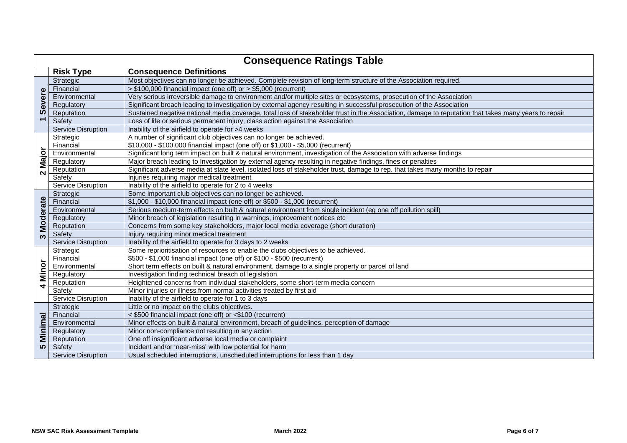|                           |                           | <b>Consequence Ratings Table</b>                                                                                                                     |
|---------------------------|---------------------------|------------------------------------------------------------------------------------------------------------------------------------------------------|
|                           | <b>Risk Type</b>          | <b>Consequence Definitions</b>                                                                                                                       |
| Severe                    | Strategic                 | Most objectives can no longer be achieved. Complete revision of long-term structure of the Association required.                                     |
|                           | Financial                 | > \$100,000 financial impact (one off) or > \$5,000 (recurrent)                                                                                      |
|                           | Environmental             | Very serious irreversible damage to environment and/or multiple sites or ecosystems, prosecution of the Association                                  |
|                           | Regulatory                | Significant breach leading to investigation by external agency resulting in successful prosecution of the Association                                |
|                           | Reputation                | Sustained negative national media coverage, total loss of stakeholder trust in the Association, damage to reputation that takes many years to repair |
| $\overline{\phantom{0}}$  | Safety                    | Loss of life or serious permanent injury, class action against the Association                                                                       |
|                           | <b>Service Disruption</b> | Inability of the airfield to operate for >4 weeks                                                                                                    |
|                           | Strategic                 | A number of significant club objectives can no longer be achieved.                                                                                   |
|                           | Financial                 | \$10,000 - \$100,000 financial impact (one off) or \$1,000 - \$5,000 (recurrent)                                                                     |
| Major                     | Environmental             | Significant long term impact on built & natural environment, investigation of the Association with adverse findings                                  |
|                           | Regulatory                | Major breach leading to Investigation by external agency resulting in negative findings, fines or penalties                                          |
| $\mathbf{\Omega}$         | Reputation                | Significant adverse media at state level, isolated loss of stakeholder trust, damage to rep. that takes many months to repair                        |
|                           | Safety                    | Injuries requiring major medical treatment                                                                                                           |
|                           | Service Disruption        | Inability of the airfield to operate for 2 to 4 weeks                                                                                                |
|                           | Strategic                 | Some important club objectives can no longer be achieved.                                                                                            |
|                           | Financial                 | \$1,000 - \$10,000 financial impact (one off) or \$500 - \$1,000 (recurrent)                                                                         |
|                           | Environmental             | Serious medium-term effects on built & natural environment from single incident (eg one off pollution spill)                                         |
| <b>Moderate</b>           | Regulatory                | Minor breach of legislation resulting in warnings, improvement notices etc.                                                                          |
|                           | Reputation                | Concerns from some key stakeholders, major local media coverage (short duration)                                                                     |
| ო                         | Safety                    | Injury requiring minor medical treatment                                                                                                             |
|                           | Service Disruption        | Inability of the airfield to operate for 3 days to 2 weeks                                                                                           |
|                           | Strategic                 | Some reprioritisation of resources to enable the clubs objectives to be achieved.                                                                    |
|                           | Financial                 | \$500 - \$1,000 financial impact (one off) or \$100 - \$500 (recurrent)                                                                              |
| Minor                     | Environmental             | Short term effects on built & natural environment, damage to a single property or parcel of land                                                     |
|                           | Regulatory                | Investigation finding technical breach of legislation                                                                                                |
| $\blacktriangleleft$      | Reputation                | Heightened concerns from individual stakeholders, some short-term media concern                                                                      |
|                           | Safety                    | Minor injuries or illness from normal activities treated by first aid                                                                                |
|                           | Service Disruption        | Inability of the airfield to operate for 1 to 3 days                                                                                                 |
|                           | Strategic                 | Little or no impact on the clubs objectives.                                                                                                         |
| $\overline{\mathfrak{a}}$ | Financial                 | < \$500 financial impact (one off) or <\$100 (recurrent)                                                                                             |
| Minima                    | Environmental             | Minor effects on built & natural environment, breach of guidelines, perception of damage                                                             |
|                           | Regulatory                | Minor non-compliance not resulting in any action                                                                                                     |
|                           | Reputation                | One off insignificant adverse local media or complaint                                                                                               |
| 5                         | Safety                    | Incident and/or 'near-miss' with low potential for harm                                                                                              |
|                           | <b>Service Disruption</b> | Usual scheduled interruptions, unscheduled interruptions for less than 1 day                                                                         |